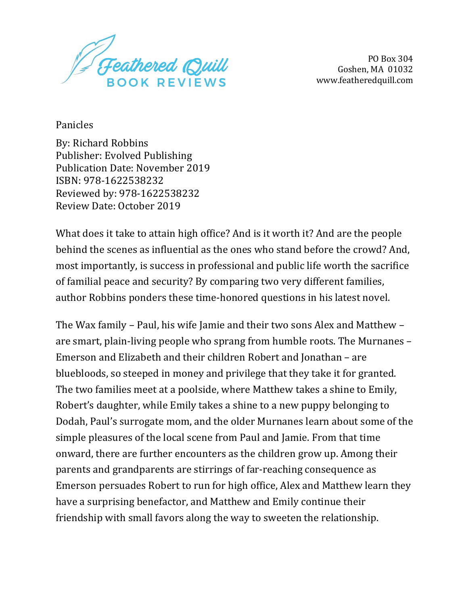

PO Box 304 Goshen, MA 01032 www.featheredquill.com

Panicles

By: Richard Robbins Publisher: Evolved Publishing Publication Date: November 2019 ISBN: 978-1622538232 Reviewed by: 978-1622538232 Review Date: October 2019

What does it take to attain high office? And is it worth it? And are the people behind the scenes as influential as the ones who stand before the crowd? And, most importantly, is success in professional and public life worth the sacrifice of familial peace and security? By comparing two very different families, author Robbins ponders these time-honored questions in his latest novel.

The Wax family – Paul, his wife Jamie and their two sons Alex and Matthew – are smart, plain-living people who sprang from humble roots. The Murnanes -Emerson and Elizabeth and their children Robert and Jonathan – are bluebloods, so steeped in money and privilege that they take it for granted. The two families meet at a poolside, where Matthew takes a shine to Emily, Robert's daughter, while Emily takes a shine to a new puppy belonging to Dodah, Paul's surrogate mom, and the older Murnanes learn about some of the simple pleasures of the local scene from Paul and Jamie. From that time onward, there are further encounters as the children grow up. Among their parents and grandparents are stirrings of far-reaching consequence as Emerson persuades Robert to run for high office, Alex and Matthew learn they have a surprising benefactor, and Matthew and Emily continue their friendship with small favors along the way to sweeten the relationship.